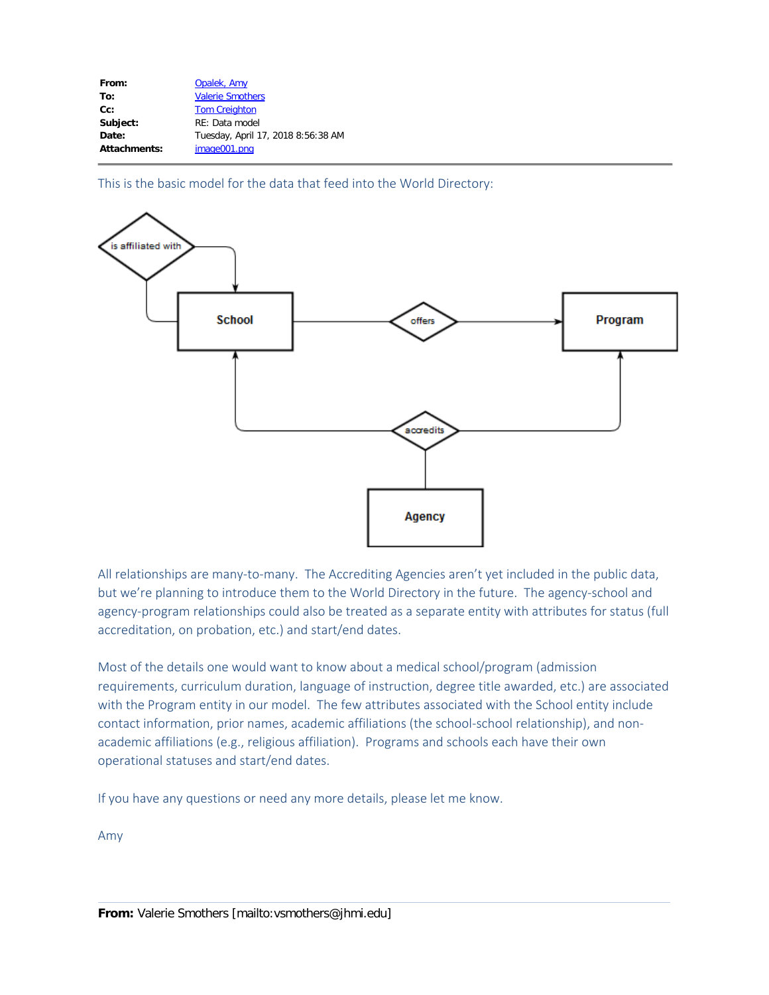| From:               | Opalek, Amy                        |
|---------------------|------------------------------------|
| To:                 | <b>Valerie Smothers</b>            |
| $Cc$ :              | <b>Tom Creighton</b>               |
| Subject:            | RE: Data model                     |
| Date:               | Tuesday, April 17, 2018 8:56:38 AM |
| <b>Attachments:</b> | image001.png                       |
|                     |                                    |

This is the basic model for the data that feed into the World Directory:



All relationships are many-to-many. The Accrediting Agencies aren't yet included in the public data, but we're planning to introduce them to the World Directory in the future. The agency-school and agency-program relationships could also be treated as a separate entity with attributes for status (full accreditation, on probation, etc.) and start/end dates.

Most of the details one would want to know about a medical school/program (admission requirements, curriculum duration, language of instruction, degree title awarded, etc.) are associated with the Program entity in our model. The few attributes associated with the School entity include contact information, prior names, academic affiliations (the school-school relationship), and nonacademic affiliations (e.g., religious affiliation). Programs and schools each have their own operational statuses and start/end dates.

If you have any questions or need any more details, please let me know.

Amy